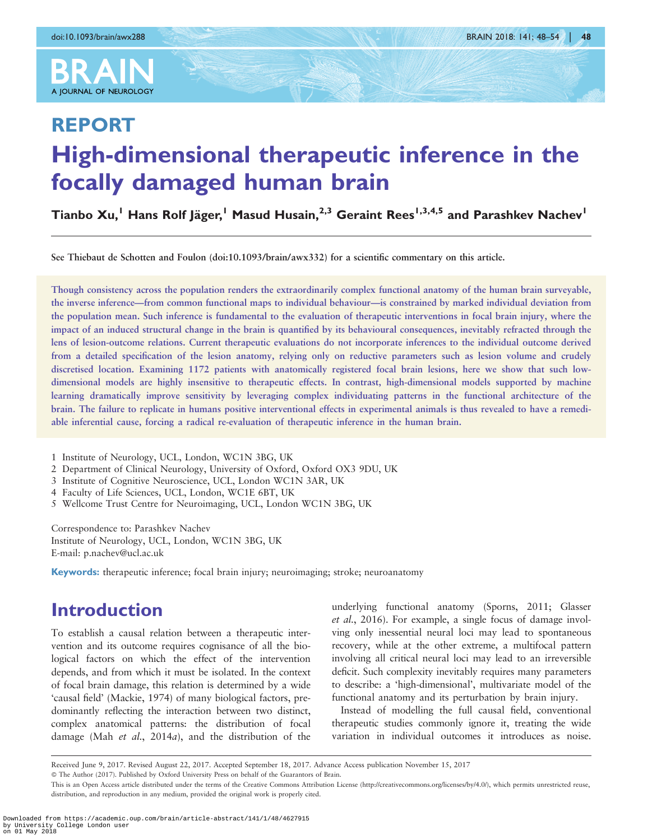

# REPORT High-dimensional therapeutic inference in the focally damaged human brain

Tianbo Xu,<sup>1</sup> Hans Rolf Jäger,<sup>1</sup> Masud Husain,<sup>2,3</sup> Geraint Rees<sup>1,3,4,5</sup> and Parashkev Nachev<sup>1</sup>

See Thiebaut de Schotten and Foulon (doi[:10.1093/brain/awx332\)](http://brain.oxfordjournals.org/content/141/1/2.full.pdf+html) for a scientific commentary on this article.

Though consistency across the population renders the extraordinarily complex functional anatomy of the human brain surveyable, the inverse inference—from common functional maps to individual behaviour—is constrained by marked individual deviation from the population mean. Such inference is fundamental to the evaluation of therapeutic interventions in focal brain injury, where the impact of an induced structural change in the brain is quantified by its behavioural consequences, inevitably refracted through the lens of lesion-outcome relations. Current therapeutic evaluations do not incorporate inferences to the individual outcome derived from a detailed specification of the lesion anatomy, relying only on reductive parameters such as lesion volume and crudely discretised location. Examining 1172 patients with anatomically registered focal brain lesions, here we show that such lowdimensional models are highly insensitive to therapeutic effects. In contrast, high-dimensional models supported by machine learning dramatically improve sensitivity by leveraging complex individuating patterns in the functional architecture of the brain. The failure to replicate in humans positive interventional effects in experimental animals is thus revealed to have a remediable inferential cause, forcing a radical re-evaluation of therapeutic inference in the human brain.

1 Institute of Neurology, UCL, London, WC1N 3BG, UK

2 Department of Clinical Neurology, University of Oxford, Oxford OX3 9DU, UK

3 Institute of Cognitive Neuroscience, UCL, London WC1N 3AR, UK

4 Faculty of Life Sciences, UCL, London, WC1E 6BT, UK

5 Wellcome Trust Centre for Neuroimaging, UCL, London WC1N 3BG, UK

Correspondence to: Parashkev Nachev Institute of Neurology, UCL, London, WC1N 3BG, UK E-mail: p.nachev@ucl.ac.uk

Keywords: therapeutic inference; focal brain injury; neuroimaging; stroke; neuroanatomy

## Introduction

To establish a causal relation between a therapeutic intervention and its outcome requires cognisance of all the biological factors on which the effect of the intervention depends, and from which it must be isolated. In the context of focal brain damage, this relation is determined by a wide 'causal field' ([Mackie, 1974](#page-6-0)) of many biological factors, predominantly reflecting the interaction between two distinct, complex anatomical patterns: the distribution of focal damage (Mah et al.[, 2014](#page-6-0)a), and the distribution of the

underlying functional anatomy [\(Sporns, 2011](#page-6-0); [Glasser](#page-6-0) et al.[, 2016\)](#page-6-0). For example, a single focus of damage involving only inessential neural loci may lead to spontaneous recovery, while at the other extreme, a multifocal pattern involving all critical neural loci may lead to an irreversible deficit. Such complexity inevitably requires many parameters to describe: a 'high-dimensional', multivariate model of the functional anatomy and its perturbation by brain injury.

Instead of modelling the full causal field, conventional therapeutic studies commonly ignore it, treating the wide variation in individual outcomes it introduces as noise.

Received June 9, 2017. Revised August 22, 2017. Accepted September 18, 2017. Advance Access publication November 15, 2017

- The Author (2017). Published by Oxford University Press on behalf of the Guarantors of Brain.

This is an Open Access article distributed under the terms of the Creative Commons Attribution License (http://creativecommons.org/licenses/by/4.0/), which permits unrestricted reuse, distribution, and reproduction in any medium, provided the original work is properly cited.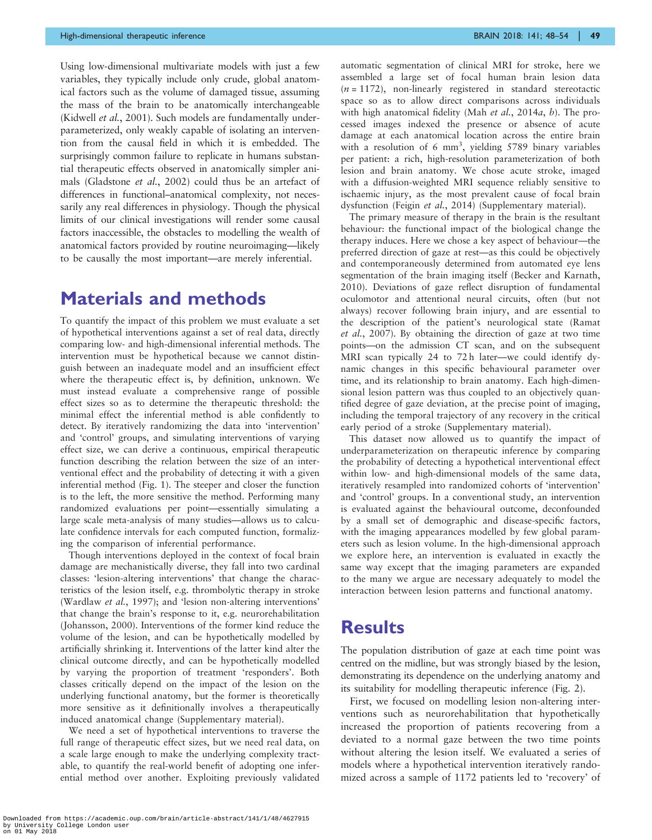Using low-dimensional multivariate models with just a few variables, they typically include only crude, global anatomical factors such as the volume of damaged tissue, assuming the mass of the brain to be anatomically interchangeable ([Kidwell](#page-6-0) et al., 2001). Such models are fundamentally underparameterized, only weakly capable of isolating an intervention from the causal field in which it is embedded. The surprisingly common failure to replicate in humans substantial therapeutic effects observed in anatomically simpler ani-mals [\(Gladstone](#page-6-0) *et al.*, 2002) could thus be an artefact of differences in functional–anatomical complexity, not necessarily any real differences in physiology. Though the physical limits of our clinical investigations will render some causal factors inaccessible, the obstacles to modelling the wealth of anatomical factors provided by routine neuroimaging—likely to be causally the most important—are merely inferential.

## Materials and methods

To quantify the impact of this problem we must evaluate a set of hypothetical interventions against a set of real data, directly comparing low- and high-dimensional inferential methods. The intervention must be hypothetical because we cannot distinguish between an inadequate model and an insufficient effect where the therapeutic effect is, by definition, unknown. We must instead evaluate a comprehensive range of possible effect sizes so as to determine the therapeutic threshold: the minimal effect the inferential method is able confidently to detect. By iteratively randomizing the data into 'intervention' and 'control' groups, and simulating interventions of varying effect size, we can derive a continuous, empirical therapeutic function describing the relation between the size of an interventional effect and the probability of detecting it with a given inferential method [\(Fig. 1\)](#page-2-0). The steeper and closer the function is to the left, the more sensitive the method. Performing many randomized evaluations per point—essentially simulating a large scale meta-analysis of many studies—allows us to calculate confidence intervals for each computed function, formalizing the comparison of inferential performance.

Though interventions deployed in the context of focal brain damage are mechanistically diverse, they fall into two cardinal classes: 'lesion-altering interventions' that change the characteristics of the lesion itself, e.g. thrombolytic therapy in stroke ([Wardlaw](#page-6-0) et al., 1997); and 'lesion non-altering interventions' that change the brain's response to it, e.g. neurorehabilitation ([Johansson, 2000](#page-6-0)). Interventions of the former kind reduce the volume of the lesion, and can be hypothetically modelled by artificially shrinking it. Interventions of the latter kind alter the clinical outcome directly, and can be hypothetically modelled by varying the proportion of treatment 'responders'. Both classes critically depend on the impact of the lesion on the underlying functional anatomy, but the former is theoretically more sensitive as it definitionally involves a therapeutically induced anatomical change (Supplementary material).

We need a set of hypothetical interventions to traverse the full range of therapeutic effect sizes, but we need real data, on a scale large enough to make the underlying complexity tractable, to quantify the real-world benefit of adopting one inferential method over another. Exploiting previously validated automatic segmentation of clinical MRI for stroke, here we assembled a large set of focal human brain lesion data  $(n = 1172)$ , non-linearly registered in standard stereotactic space so as to allow direct comparisons across individuals with high anatomical fidelity (Mah et al.[, 2014](#page-6-0)a, [b](#page-6-0)). The processed images indexed the presence or absence of acute damage at each anatomical location across the entire brain with a resolution of 6  $mm<sup>3</sup>$ , yielding 5789 binary variables per patient: a rich, high-resolution parameterization of both lesion and brain anatomy. We chose acute stroke, imaged with a diffusion-weighted MRI sequence reliably sensitive to ischaemic injury, as the most prevalent cause of focal brain dysfunction (Feigin et al.[, 2014](#page-6-0)) (Supplementary material).

The primary measure of therapy in the brain is the resultant behaviour: the functional impact of the biological change the therapy induces. Here we chose a key aspect of behaviour—the preferred direction of gaze at rest—as this could be objectively and contemporaneously determined from automated eye lens segmentation of the brain imaging itself ([Becker and Karnath,](#page-5-0) [2010](#page-5-0)). Deviations of gaze reflect disruption of fundamental oculomotor and attentional neural circuits, often (but not always) recover following brain injury, and are essential to the description of the patient's neurological state ([Ramat](#page-6-0) et al.[, 2007](#page-6-0)). By obtaining the direction of gaze at two time points—on the admission CT scan, and on the subsequent MRI scan typically 24 to 72 h later—we could identify dynamic changes in this specific behavioural parameter over time, and its relationship to brain anatomy. Each high-dimensional lesion pattern was thus coupled to an objectively quantified degree of gaze deviation, at the precise point of imaging, including the temporal trajectory of any recovery in the critical early period of a stroke (Supplementary material).

This dataset now allowed us to quantify the impact of underparameterization on therapeutic inference by comparing the probability of detecting a hypothetical interventional effect within low- and high-dimensional models of the same data, iteratively resampled into randomized cohorts of 'intervention' and 'control' groups. In a conventional study, an intervention is evaluated against the behavioural outcome, deconfounded by a small set of demographic and disease-specific factors, with the imaging appearances modelled by few global parameters such as lesion volume. In the high-dimensional approach we explore here, an intervention is evaluated in exactly the same way except that the imaging parameters are expanded to the many we argue are necessary adequately to model the interaction between lesion patterns and functional anatomy.

#### **Results**

The population distribution of gaze at each time point was centred on the midline, but was strongly biased by the lesion, demonstrating its dependence on the underlying anatomy and its suitability for modelling therapeutic inference ([Fig. 2](#page-3-0)).

First, we focused on modelling lesion non-altering interventions such as neurorehabilitation that hypothetically increased the proportion of patients recovering from a deviated to a normal gaze between the two time points without altering the lesion itself. We evaluated a series of models where a hypothetical intervention iteratively randomized across a sample of 1172 patients led to 'recovery' of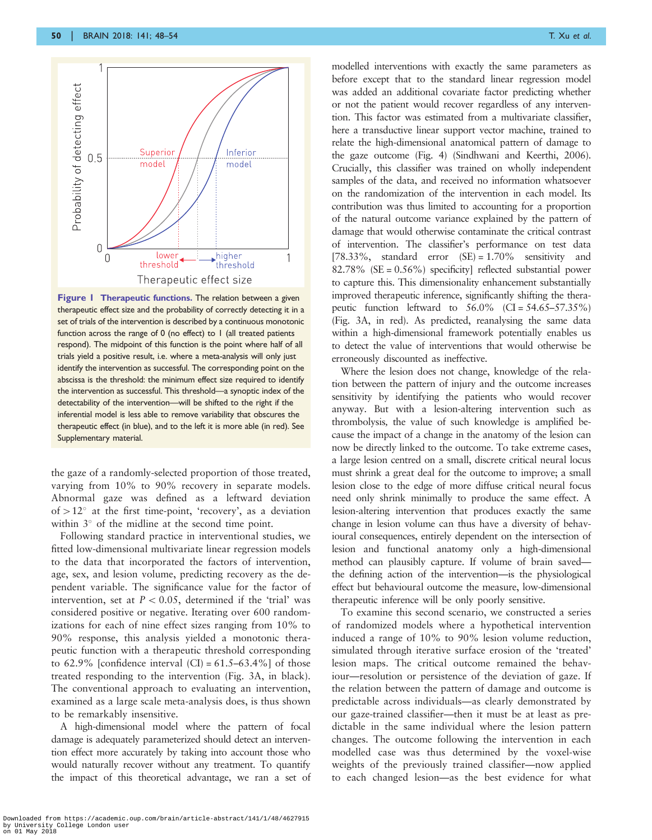<span id="page-2-0"></span>

Figure 1 Therapeutic functions. The relation between a given therapeutic effect size and the probability of correctly detecting it in a set of trials of the intervention is described by a continuous monotonic function across the range of 0 (no effect) to 1 (all treated patients respond). The midpoint of this function is the point where half of all trials yield a positive result, i.e. where a meta-analysis will only just identify the intervention as successful. The corresponding point on the abscissa is the threshold: the minimum effect size required to identify the intervention as successful. This threshold—a synoptic index of the detectability of the intervention—will be shifted to the right if the inferential model is less able to remove variability that obscures the therapeutic effect (in blue), and to the left it is more able (in red). See Supplementary material.

the gaze of a randomly-selected proportion of those treated, varying from 10% to 90% recovery in separate models. Abnormal gaze was defined as a leftward deviation of  $> 12^\circ$  at the first time-point, 'recovery', as a deviation within  $3^\circ$  of the midline at the second time point.

Following standard practice in interventional studies, we fitted low-dimensional multivariate linear regression models to the data that incorporated the factors of intervention, age, sex, and lesion volume, predicting recovery as the dependent variable. The significance value for the factor of intervention, set at  $P < 0.05$ , determined if the 'trial' was considered positive or negative. Iterating over 600 randomizations for each of nine effect sizes ranging from 10% to 90% response, this analysis yielded a monotonic therapeutic function with a therapeutic threshold corresponding to 62.9% [confidence interval  $|CI| = 61.5-63.4\%$ ] of those treated responding to the intervention ([Fig. 3](#page-4-0)A, in black). The conventional approach to evaluating an intervention, examined as a large scale meta-analysis does, is thus shown to be remarkably insensitive.

A high-dimensional model where the pattern of focal damage is adequately parameterized should detect an intervention effect more accurately by taking into account those who would naturally recover without any treatment. To quantify the impact of this theoretical advantage, we ran a set of modelled interventions with exactly the same parameters as before except that to the standard linear regression model was added an additional covariate factor predicting whether or not the patient would recover regardless of any intervention. This factor was estimated from a multivariate classifier, here a transductive linear support vector machine, trained to relate the high-dimensional anatomical pattern of damage to the gaze outcome [\(Fig. 4\)](#page-5-0) ([Sindhwani and Keerthi, 2006\)](#page-6-0). Crucially, this classifier was trained on wholly independent samples of the data, and received no information whatsoever on the randomization of the intervention in each model. Its contribution was thus limited to accounting for a proportion of the natural outcome variance explained by the pattern of damage that would otherwise contaminate the critical contrast of intervention. The classifier's performance on test data [78.33%, standard error  $(SE) = 1.70\%$  sensitivity and 82.78% (SE = 0.56%) specificity] reflected substantial power to capture this. This dimensionality enhancement substantially improved therapeutic inference, significantly shifting the therapeutic function leftward to  $56.0\%$  (CI =  $54.65-57.35\%$ ) [\(Fig. 3](#page-4-0)A, in red). As predicted, reanalysing the same data within a high-dimensional framework potentially enables us to detect the value of interventions that would otherwise be erroneously discounted as ineffective.

Where the lesion does not change, knowledge of the relation between the pattern of injury and the outcome increases sensitivity by identifying the patients who would recover anyway. But with a lesion-altering intervention such as thrombolysis, the value of such knowledge is amplified because the impact of a change in the anatomy of the lesion can now be directly linked to the outcome. To take extreme cases, a large lesion centred on a small, discrete critical neural locus must shrink a great deal for the outcome to improve; a small lesion close to the edge of more diffuse critical neural focus need only shrink minimally to produce the same effect. A lesion-altering intervention that produces exactly the same change in lesion volume can thus have a diversity of behavioural consequences, entirely dependent on the intersection of lesion and functional anatomy only a high-dimensional method can plausibly capture. If volume of brain saved the defining action of the intervention—is the physiological effect but behavioural outcome the measure, low-dimensional therapeutic inference will be only poorly sensitive.

To examine this second scenario, we constructed a series of randomized models where a hypothetical intervention induced a range of 10% to 90% lesion volume reduction, simulated through iterative surface erosion of the 'treated' lesion maps. The critical outcome remained the behaviour—resolution or persistence of the deviation of gaze. If the relation between the pattern of damage and outcome is predictable across individuals—as clearly demonstrated by our gaze-trained classifier—then it must be at least as predictable in the same individual where the lesion pattern changes. The outcome following the intervention in each modelled case was thus determined by the voxel-wise weights of the previously trained classifier—now applied to each changed lesion—as the best evidence for what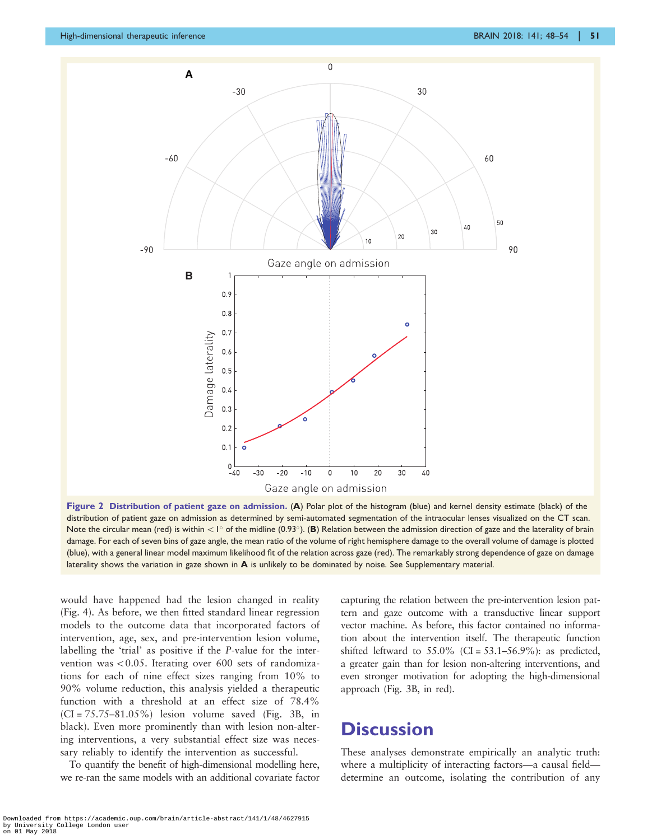<span id="page-3-0"></span>

Figure 2 Distribution of patient gaze on admission. (A) Polar plot of the histogram (blue) and kernel density estimate (black) of the distribution of patient gaze on admission as determined by semi-automated segmentation of the intraocular lenses visualized on the CT scan. Note the circular mean (red) is within  $\lt l^{\circ}$  of the midline (0.93 $^{\circ}$ ). (B) Relation between the admission direction of gaze and the laterality of brain damage. For each of seven bins of gaze angle, the mean ratio of the volume of right hemisphere damage to the overall volume of damage is plotted (blue), with a general linear model maximum likelihood fit of the relation across gaze (red). The remarkably strong dependence of gaze on damage laterality shows the variation in gaze shown in A is unlikely to be dominated by noise. See Supplementary material.

would have happened had the lesion changed in reality ([Fig. 4](#page-5-0)). As before, we then fitted standard linear regression models to the outcome data that incorporated factors of intervention, age, sex, and pre-intervention lesion volume, labelling the 'trial' as positive if the P-value for the intervention was  $< 0.05$ . Iterating over 600 sets of randomizations for each of nine effect sizes ranging from 10% to 90% volume reduction, this analysis yielded a therapeutic function with a threshold at an effect size of 78.4%  $|CI = 75.75-81.05\%|$  lesion volume saved [\(Fig. 3B](#page-4-0), in black). Even more prominently than with lesion non-altering interventions, a very substantial effect size was necessary reliably to identify the intervention as successful.

To quantify the benefit of high-dimensional modelling here, we re-ran the same models with an additional covariate factor capturing the relation between the pre-intervention lesion pattern and gaze outcome with a transductive linear support vector machine. As before, this factor contained no information about the intervention itself. The therapeutic function shifted leftward to  $55.0\%$  (CI =  $53.1-56.9\%$ ): as predicted, a greater gain than for lesion non-altering interventions, and even stronger motivation for adopting the high-dimensional approach ([Fig. 3B](#page-4-0), in red).

## **Discussion**

These analyses demonstrate empirically an analytic truth: where a multiplicity of interacting factors—a causal field determine an outcome, isolating the contribution of any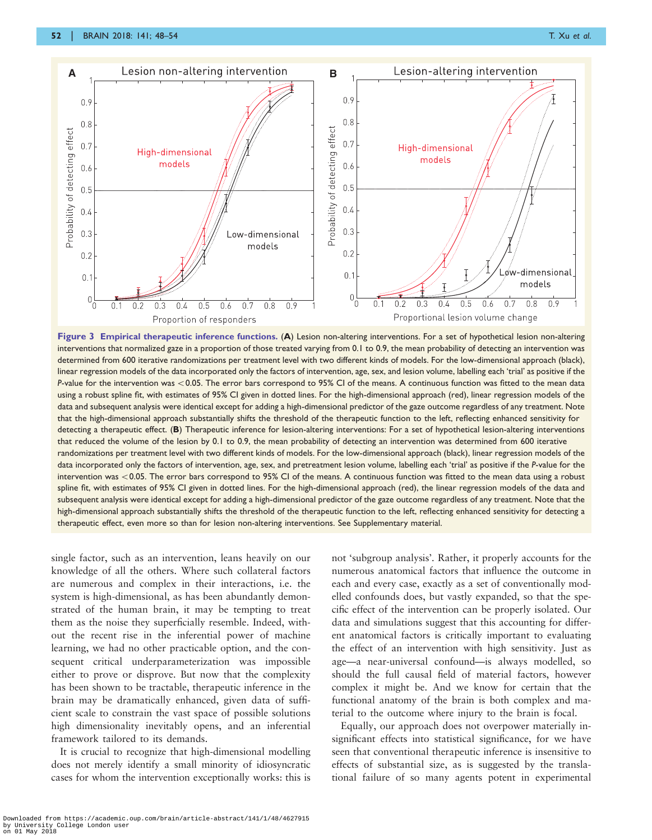<span id="page-4-0"></span>

Figure 3 Empirical therapeutic inference functions. (A) Lesion non-altering interventions. For a set of hypothetical lesion non-altering interventions that normalized gaze in a proportion of those treated varying from 0.1 to 0.9, the mean probability of detecting an intervention was determined from 600 iterative randomizations per treatment level with two different kinds of models. For the low-dimensional approach (black), linear regression models of the data incorporated only the factors of intervention, age, sex, and lesion volume, labelling each 'trial' as positive if the P-value for the intervention was <0.05. The error bars correspond to 95% CI of the means. A continuous function was fitted to the mean data using a robust spline fit, with estimates of 95% CI given in dotted lines. For the high-dimensional approach (red), linear regression models of the data and subsequent analysis were identical except for adding a high-dimensional predictor of the gaze outcome regardless of any treatment. Note that the high-dimensional approach substantially shifts the threshold of the therapeutic function to the left, reflecting enhanced sensitivity for detecting a therapeutic effect. (B) Therapeutic inference for lesion-altering interventions: For a set of hypothetical lesion-altering interventions that reduced the volume of the lesion by 0.1 to 0.9, the mean probability of detecting an intervention was determined from 600 iterative randomizations per treatment level with two different kinds of models. For the low-dimensional approach (black), linear regression models of the data incorporated only the factors of intervention, age, sex, and pretreatment lesion volume, labelling each 'trial' as positive if the P-value for the intervention was <0.05. The error bars correspond to 95% CI of the means. A continuous function was fitted to the mean data using a robust spline fit, with estimates of 95% CI given in dotted lines. For the high-dimensional approach (red), the linear regression models of the data and subsequent analysis were identical except for adding a high-dimensional predictor of the gaze outcome regardless of any treatment. Note that the high-dimensional approach substantially shifts the threshold of the therapeutic function to the left, reflecting enhanced sensitivity for detecting a therapeutic effect, even more so than for lesion non-altering interventions. See Supplementary material.

single factor, such as an intervention, leans heavily on our knowledge of all the others. Where such collateral factors are numerous and complex in their interactions, i.e. the system is high-dimensional, as has been abundantly demonstrated of the human brain, it may be tempting to treat them as the noise they superficially resemble. Indeed, without the recent rise in the inferential power of machine learning, we had no other practicable option, and the consequent critical underparameterization was impossible either to prove or disprove. But now that the complexity has been shown to be tractable, therapeutic inference in the brain may be dramatically enhanced, given data of sufficient scale to constrain the vast space of possible solutions high dimensionality inevitably opens, and an inferential framework tailored to its demands.

It is crucial to recognize that high-dimensional modelling does not merely identify a small minority of idiosyncratic cases for whom the intervention exceptionally works: this is

not 'subgroup analysis'. Rather, it properly accounts for the numerous anatomical factors that influence the outcome in each and every case, exactly as a set of conventionally modelled confounds does, but vastly expanded, so that the specific effect of the intervention can be properly isolated. Our data and simulations suggest that this accounting for different anatomical factors is critically important to evaluating the effect of an intervention with high sensitivity. Just as age—a near-universal confound—is always modelled, so should the full causal field of material factors, however complex it might be. And we know for certain that the functional anatomy of the brain is both complex and material to the outcome where injury to the brain is focal.

Equally, our approach does not overpower materially insignificant effects into statistical significance, for we have seen that conventional therapeutic inference is insensitive to effects of substantial size, as is suggested by the translational failure of so many agents potent in experimental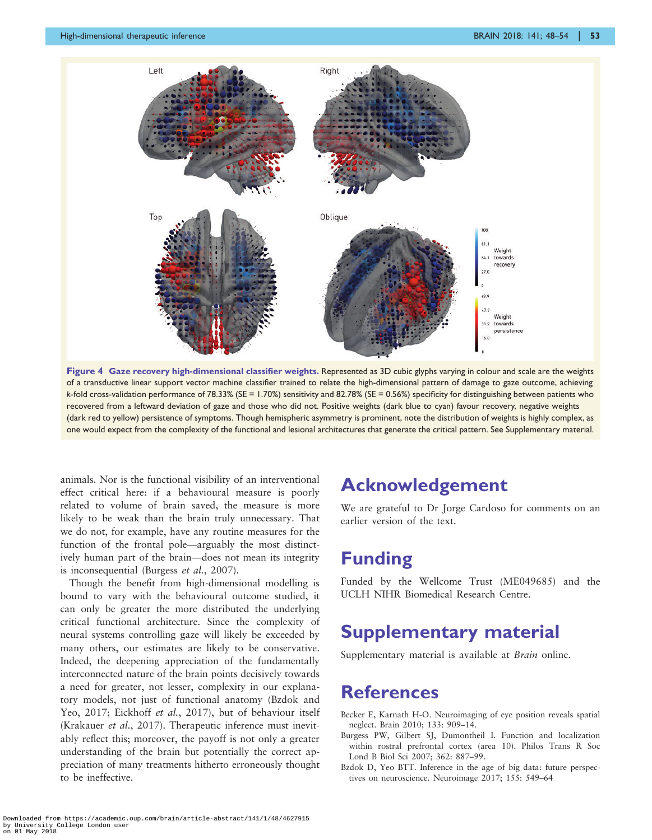<span id="page-5-0"></span>

Figure 4 Gaze recovery high-dimensional classifier weights. Represented as 3D cubic glyphs varying in colour and scale are the weights of a transductive linear support vector machine classifier trained to relate the high-dimensional pattern of damage to gaze outcome, achieving k-fold cross-validation performance of 78.33% (SE = 1.70%) sensitivity and 82.78% (SE = 0.56%) specificity for distinguishing between patients who recovered from a leftward deviation of gaze and those who did not. Positive weights (dark blue to cyan) favour recovery, negative weights (dark red to yellow) persistence of symptoms. Though hemispheric asymmetry is prominent, note the distribution of weights is highly complex, as one would expect from the complexity of the functional and lesional architectures that generate the critical pattern. See Supplementary material.

animals. Nor is the functional visibility of an interventional effect critical here: if a behavioural measure is poorly related to volume of brain saved, the measure is more likely to be weak than the brain truly unnecessary. That we do not, for example, have any routine measures for the function of the frontal pole—arguably the most distinctively human part of the brain—does not mean its integrity is inconsequential (Burgess et al., 2007).

Though the benefit from high-dimensional modelling is bound to vary with the behavioural outcome studied, it can only be greater the more distributed the underlying critical functional architecture. Since the complexity of neural systems controlling gaze will likely be exceeded by many others, our estimates are likely to be conservative. Indeed, the deepening appreciation of the fundamentally interconnected nature of the brain points decisively towards a need for greater, not lesser, complexity in our explanatory models, not just of functional anatomy (Bzdok and Yeo, 2017; [Eickhoff](#page-6-0) et al., 2017), but of behaviour itself ([Krakauer](#page-6-0) et al., 2017). Therapeutic inference must inevitably reflect this; moreover, the payoff is not only a greater understanding of the brain but potentially the correct appreciation of many treatments hitherto erroneously thought to be ineffective.

# Acknowledgement

We are grateful to Dr Jorge Cardoso for comments on an earlier version of the text.

## Funding

Funded by the Wellcome Trust (ME049685) and the UCLH NIHR Biomedical Research Centre.

# Supplementary material

Supplementary material is available at Brain online.

#### References

- Becker E, Karnath H-O. Neuroimaging of eye position reveals spatial neglect. Brain 2010; 133: 909–14.
- Burgess PW, Gilbert SJ, Dumontheil I. Function and localization within rostral prefrontal cortex (area 10). Philos Trans R Soc Lond B Biol Sci 2007; 362: 887–99.
- Bzdok D, Yeo BTT. Inference in the age of big data: future perspectives on neuroscience. Neuroimage 2017; 155: 549–64